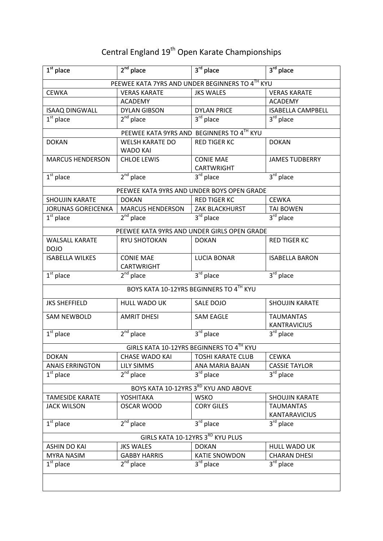## Central England 19<sup>th</sup> Open Karate Championships

| $\overline{1^{st}}$ place                       | $2nd$ place             | $3rd$ place                                 | $3rd$ place                      |  |
|-------------------------------------------------|-------------------------|---------------------------------------------|----------------------------------|--|
| PEEWEE KATA 7YRS AND UNDER BEGINNERS TO 4TH KYU |                         |                                             |                                  |  |
| <b>CEWKA</b>                                    | <b>VERAS KARATE</b>     | <b>JKS WALES</b>                            | <b>VERAS KARATE</b>              |  |
|                                                 | <b>ACADEMY</b>          |                                             | <b>ACADEMY</b>                   |  |
| <b>ISAAQ DINGWALL</b>                           | <b>DYLAN GIBSON</b>     | <b>DYLAN PRICE</b>                          | <b>ISABELLA CAMPBELL</b>         |  |
| $1st$ place                                     | $2nd$ place             | 3rd place                                   | $3^{\text{rd}}$ place            |  |
|                                                 |                         | PEEWEE KATA 9YRS AND BEGINNERS TO 4TH KYU   |                                  |  |
| <b>DOKAN</b>                                    | <b>WELSH KARATE DO</b>  | <b>RED TIGER KC</b>                         | <b>DOKAN</b>                     |  |
|                                                 | <b>WADO KAI</b>         |                                             |                                  |  |
| <b>MARCUS HENDERSON</b>                         | <b>CHLOE LEWIS</b>      | <b>CONIE MAE</b>                            | <b>JAMES TUDBERRY</b>            |  |
|                                                 |                         | <b>CARTWRIGHT</b>                           |                                  |  |
| $1st$ place                                     | $2nd$ place             | $3rd$ place                                 | $3rd$ place                      |  |
|                                                 |                         | PEEWEE KATA 9YRS AND UNDER BOYS OPEN GRADE  |                                  |  |
| <b>SHOUJIN KARATE</b>                           | <b>DOKAN</b>            | <b>RED TIGER KC</b>                         | <b>CEWKA</b>                     |  |
| <b>JORUNAS GOREICENKA</b>                       | <b>MARCUS HENDERSON</b> | ZAK BLACKHURST                              | <b>TAI BOWEN</b>                 |  |
| $1st$ place                                     | $2^{nd}$ place          | $3rd$ place                                 | 3 <sup>rd</sup> place            |  |
|                                                 |                         | PEEWEE KATA 9YRS AND UNDER GIRLS OPEN GRADE |                                  |  |
| <b>WALSALL KARATE</b>                           | <b>RYU SHOTOKAN</b>     | <b>DOKAN</b>                                | <b>RED TIGER KC</b>              |  |
| <b>DOJO</b>                                     |                         |                                             |                                  |  |
| <b>ISABELLA WILKES</b>                          | <b>CONIE MAE</b>        | <b>LUCIA BONAR</b>                          | <b>ISABELLA BARON</b>            |  |
|                                                 | <b>CARTWRIGHT</b>       |                                             |                                  |  |
| $1st$ place                                     | $2^{nd}$ place          | $3rd$ place                                 | 3rd place                        |  |
|                                                 |                         | BOYS KATA 10-12YRS BEGINNERS TO 4TH KYU     |                                  |  |
| <b>JKS SHEFFIELD</b>                            | HULL WADO UK            | SALE DOJO                                   | <b>SHOUJIN KARATE</b>            |  |
| <b>SAM NEWBOLD</b>                              | <b>AMRIT DHESI</b>      | <b>SAM EAGLE</b>                            | <b>TAUMANTAS</b>                 |  |
|                                                 |                         |                                             | <b>KANTRAVICIUS</b>              |  |
| $\overline{1^{st}}$ place                       | $2nd$ place             | $3rd$ place                                 | $3^{\overline{\text{rd}}}$ place |  |
|                                                 |                         | GIRLS KATA 10-12YRS BEGINNERS TO 4TH KYU    |                                  |  |
| <b>DOKAN</b>                                    | <b>CHASE WADO KAI</b>   | <b>TOSHI KARATE CLUB</b>                    | <b>CEWKA</b>                     |  |
| <b>ANAIS ERRINGTON</b>                          | <b>LILY SIMMS</b>       | ANA MARIA BAJAN                             | <b>CASSIE TAYLOR</b>             |  |
| $1st$ place                                     | $2^{nd}$ place          | 3rd place                                   | 3rd place                        |  |
| BOYS KATA 10-12YRS 3RD KYU AND ABOVE            |                         |                                             |                                  |  |
| <b>TAMESIDE KARATE</b>                          | YOSHITAKA               | <b>WSKO</b>                                 | SHOUJIN KARATE                   |  |
| <b>JACK WILSON</b>                              | <b>OSCAR WOOD</b>       | <b>CORY GILES</b>                           | <b>TAUMANTAS</b>                 |  |
|                                                 |                         |                                             | <b>KANTARAVICIUS</b>             |  |
| $1st$ place                                     | $2nd$ place             | 3rd place                                   | $\overline{3}^{\text{rd}}$ place |  |
| GIRLS KATA 10-12YRS 3RD KYU PLUS                |                         |                                             |                                  |  |
| <b>ASHIN DO KAI</b>                             | <b>JKS WALES</b>        | <b>DOKAN</b>                                | <b>HULL WADO UK</b>              |  |
| <b>MYRA NASIM</b>                               | <b>GABBY HARRIS</b>     | <b>KATIE SNOWDON</b>                        | <b>CHARAN DHESI</b>              |  |
| $1st$ place                                     | 2 <sup>nd</sup> place   | $3rd$ place                                 | 3 <sup>rd</sup> place            |  |
|                                                 |                         |                                             |                                  |  |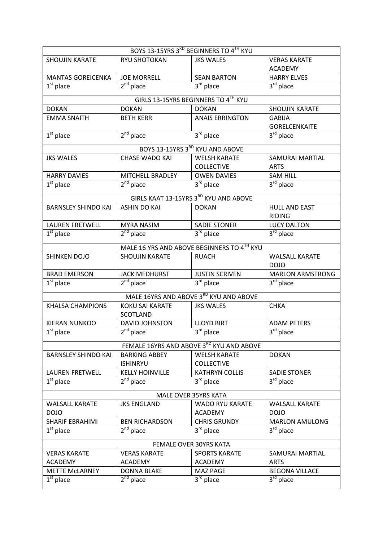| BOYS 13-15YRS 3RD BEGINNERS TO 4TH KYU |                        |                                            |                         |  |
|----------------------------------------|------------------------|--------------------------------------------|-------------------------|--|
| <b>SHOUJIN KARATE</b>                  | RYU SHOTOKAN           | <b>JKS WALES</b>                           | <b>VERAS KARATE</b>     |  |
|                                        |                        |                                            | <b>ACADEMY</b>          |  |
| <b>MANTAS GOREICENKA</b>               | <b>JOE MORRELL</b>     | <b>SEAN BARTON</b>                         | <b>HARRY ELVES</b>      |  |
| $1st$ place                            | $2nd$ place            | $3rd$ place                                | $3rd$ place             |  |
|                                        |                        | GIRLS 13-15YRS BEGINNERS TO 4TH KYU        |                         |  |
| <b>DOKAN</b>                           | <b>DOKAN</b>           | <b>DOKAN</b>                               | <b>SHOUJIN KARATE</b>   |  |
| <b>EMMA SNAITH</b>                     | <b>BETH KERR</b>       | <b>ANAIS ERRINGTON</b>                     | <b>GABIJA</b>           |  |
|                                        |                        |                                            | <b>GORELCENKAITE</b>    |  |
| $1st$ place                            | $2nd$ place            | $3rd$ place                                | 3rd place               |  |
|                                        |                        |                                            |                         |  |
|                                        |                        | BOYS 13-15YRS 3RD KYU AND ABOVE            |                         |  |
| <b>JKS WALES</b>                       | <b>CHASE WADO KAI</b>  | <b>WELSH KARATE</b>                        | <b>SAMURAI MARTIAL</b>  |  |
|                                        |                        | <b>COLLECTIVE</b>                          | <b>ARTS</b>             |  |
| <b>HARRY DAVIES</b>                    | MITCHELL BRADLEY       | <b>OWEN DAVIES</b>                         | <b>SAM HILL</b>         |  |
| $1st$ place                            | $2^{nd}$ place         | $3rd$ place                                | 3rd place               |  |
|                                        |                        | GIRLS KAAT 13-15YRS 3RD KYU AND ABOVE      |                         |  |
| <b>BARNSLEY SHINDO KAI</b>             | <b>ASHIN DO KAI</b>    | <b>DOKAN</b>                               | <b>HULL AND EAST</b>    |  |
|                                        |                        |                                            | <b>RIDING</b>           |  |
| <b>LAUREN FRETWELL</b>                 | <b>MYRA NASIM</b>      | <b>SADIE STONER</b>                        | <b>LUCY DALTON</b>      |  |
| $1st$ place                            | $2nd$ place            | $3rd$ place                                | $3rd$ place             |  |
|                                        |                        | MALE 16 YRS AND ABOVE BEGINNERS TO 4TH KYU |                         |  |
| <b>SHINKEN DOJO</b>                    | <b>SHOUJIN KARATE</b>  | <b>RUACH</b>                               | <b>WALSALL KARATE</b>   |  |
|                                        |                        |                                            | <b>DOJO</b>             |  |
| <b>BRAD EMERSON</b>                    | <b>JACK MEDHURST</b>   | <b>JUSTIN SCRIVEN</b>                      | <b>MARLON ARMSTRONG</b> |  |
| $1st$ place                            | $2nd$ place            | $3rd$ place                                | 3rd place               |  |
|                                        |                        | MALE 16YRS AND ABOVE 3RD KYU AND ABOVE     |                         |  |
| <b>KHALSA CHAMPIONS</b>                | KOKU SAI KARATE        | <b>JKS WALES</b>                           | <b>CHKA</b>             |  |
|                                        | <b>SCOTLAND</b>        |                                            |                         |  |
| <b>KIERAN NUNKOO</b>                   | <b>DAVID JOHNSTON</b>  | <b>LLOYD BIRT</b>                          | <b>ADAM PETERS</b>      |  |
| $1st$ place                            | $2nd$ place            | $3^{\text{rd}}$ place                      | 3rd place               |  |
|                                        |                        |                                            |                         |  |
|                                        |                        | FEMALE 16YRS AND ABOVE 3RD KYU AND ABOVE   |                         |  |
| <b>BARNSLEY SHINDO KAI</b>             | <b>BARKING ABBEY</b>   | <b>WELSH KARATE</b>                        | <b>DOKAN</b>            |  |
|                                        | <b>ISHINRYU</b>        | <b>COLLECTIVE</b>                          |                         |  |
| <b>LAUREN FRETWELL</b>                 | <b>KELLY HOINVILLE</b> | <b>KATHRYN COLLIS</b>                      | <b>SADIE STONER</b>     |  |
| $1st$ place                            | $2nd$ place            | $3rd$ place                                | 3 <sup>rd</sup> place   |  |
| MALE OVER 35YRS KATA                   |                        |                                            |                         |  |
| <b>WALSALL KARATE</b>                  | <b>JKS ENGLAND</b>     | <b>WADO RYU KARATE</b>                     | <b>WALSALL KARATE</b>   |  |
| <b>DOJO</b>                            |                        | <b>ACADEMY</b>                             | <b>DOJO</b>             |  |
| <b>SHARIF EBRAHIMI</b>                 | <b>BEN RICHARDSON</b>  | <b>CHRIS GRUNDY</b>                        | <b>MARLON AMULONG</b>   |  |
| $1st$ place                            | $2nd$ place            | $3rd$ place                                | 3 <sup>rd</sup> place   |  |
| FEMALE OVER 30YRS KATA                 |                        |                                            |                         |  |
| <b>VERAS KARATE</b>                    | <b>VERAS KARATE</b>    | <b>SPORTS KARATE</b>                       | SAMURAI MARTIAL         |  |
| <b>ACADEMY</b>                         | <b>ACADEMY</b>         | <b>ACADEMY</b>                             | <b>ARTS</b>             |  |
| <b>METTE MCLARNEY</b>                  | <b>DONNA BLAKE</b>     | <b>MAZ PAGE</b>                            | <b>BEGONA VILLACE</b>   |  |
| $1st$ place                            | $2^{nd}$ place         | $3rd$ place                                | 3rd place               |  |
|                                        |                        |                                            |                         |  |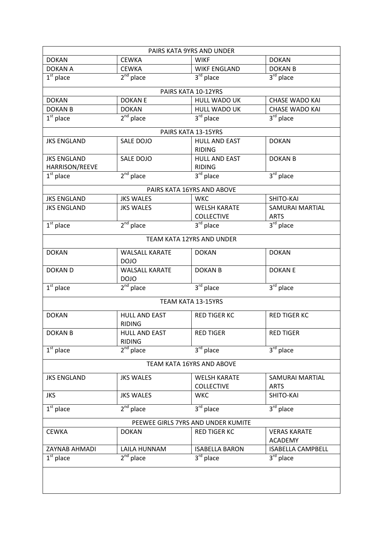| PAIRS KATA 9YRS AND UNDER          |                                       |                                       |                                       |  |
|------------------------------------|---------------------------------------|---------------------------------------|---------------------------------------|--|
| <b>DOKAN</b>                       | <b>CEWKA</b>                          | <b>WIKF</b>                           | <b>DOKAN</b>                          |  |
| <b>DOKAN A</b>                     | <b>CEWKA</b>                          | <b>WIKF ENGLAND</b>                   | <b>DOKAN B</b>                        |  |
| $1st$ place                        | $2nd$ place                           | $3rd$ place                           | $3^{\overline{\text{rd}}}$ place      |  |
|                                    |                                       | PAIRS KATA 10-12YRS                   |                                       |  |
| <b>DOKAN</b>                       | <b>DOKANE</b>                         | <b>HULL WADO UK</b>                   | <b>CHASE WADO KAI</b>                 |  |
| <b>DOKAN B</b>                     | <b>DOKAN</b>                          | HULL WADO UK                          | <b>CHASE WADO KAI</b>                 |  |
| $1st$ place                        | $2nd$ place                           | 3 <sup>rd</sup> place                 | 3 <sup>rd</sup> place                 |  |
|                                    |                                       | PAIRS KATA 13-15YRS                   |                                       |  |
| <b>JKS ENGLAND</b>                 | SALE DOJO                             | <b>HULL AND EAST</b><br><b>RIDING</b> | <b>DOKAN</b>                          |  |
| <b>JKS ENGLAND</b>                 | SALE DOJO                             | <b>HULL AND EAST</b>                  | <b>DOKAN B</b>                        |  |
| HARRISON/REEVE                     |                                       | <b>RIDING</b>                         |                                       |  |
| $1st$ place                        | $2nd$ place                           | $\overline{3}^{\text{rd}}$ place      | $3rd$ place                           |  |
|                                    |                                       | PAIRS KATA 16YRS AND ABOVE            |                                       |  |
| <b>JKS ENGLAND</b>                 | <b>JKS WALES</b>                      | <b>WKC</b>                            | SHITO-KAI                             |  |
| <b>JKS ENGLAND</b>                 | <b>JKS WALES</b>                      | <b>WELSH KARATE</b>                   | <b>SAMURAI MARTIAL</b>                |  |
|                                    |                                       | <b>COLLECTIVE</b>                     | <b>ARTS</b>                           |  |
| $1st$ place                        | $2nd$ place                           | 3 <sup>rd</sup> place                 | $3^{\text{rd}}$ place                 |  |
|                                    |                                       | TEAM KATA 12YRS AND UNDER             |                                       |  |
| <b>DOKAN</b>                       | <b>WALSALL KARATE</b><br><b>DOJO</b>  | <b>DOKAN</b>                          | <b>DOKAN</b>                          |  |
| <b>DOKAN D</b>                     | <b>WALSALL KARATE</b><br><b>DOJO</b>  | <b>DOKAN B</b>                        | <b>DOKANE</b>                         |  |
| $1st$ place                        | $2nd$ place                           | 3rd place                             | 3 <sup>rd</sup> place                 |  |
|                                    |                                       | TEAM KATA 13-15YRS                    |                                       |  |
| <b>DOKAN</b>                       | <b>HULL AND EAST</b><br><b>RIDING</b> | <b>RED TIGER KC</b>                   | <b>RED TIGER KC</b>                   |  |
| <b>DOKAN B</b>                     | <b>HULL AND EAST</b><br><b>RIDING</b> | <b>RED TIGER</b>                      | <b>RED TIGER</b>                      |  |
| $\overline{1^{st}}$ place          | $2nd$ place                           | $3rd$ place                           | $3rd$ place                           |  |
| TEAM KATA 16YRS AND ABOVE          |                                       |                                       |                                       |  |
| <b>JKS ENGLAND</b>                 | <b>JKS WALES</b>                      | <b>WELSH KARATE</b>                   | <b>SAMURAI MARTIAL</b>                |  |
|                                    |                                       | <b>COLLECTIVE</b>                     | <b>ARTS</b>                           |  |
| <b>JKS</b>                         | <b>JKS WALES</b>                      | <b>WKC</b>                            | SHITO-KAI                             |  |
| $1st$ place                        | $2nd$ place                           | $3rd$ place                           | $3rd$ place                           |  |
| PEEWEE GIRLS 7YRS AND UNDER KUMITE |                                       |                                       |                                       |  |
| <b>CEWKA</b>                       | <b>DOKAN</b>                          | <b>RED TIGER KC</b>                   | <b>VERAS KARATE</b><br><b>ACADEMY</b> |  |
| ZAYNAB AHMADI                      | <b>LAILA HUNNAM</b>                   | <b>ISABELLA BARON</b>                 | <b>ISABELLA CAMPBELL</b>              |  |
| $\overline{1^{st}}$ place          | $2nd$ place                           | $3rd$ place                           | $3rd$ place                           |  |
|                                    |                                       |                                       |                                       |  |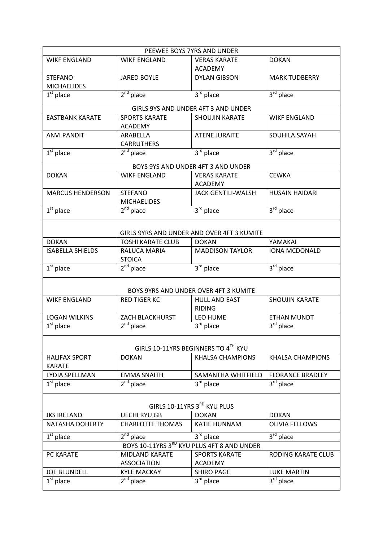| PEEWEE BOYS 7YRS AND UNDER          |                               |                                            |                                             |  |
|-------------------------------------|-------------------------------|--------------------------------------------|---------------------------------------------|--|
| <b>WIKF ENGLAND</b>                 | <b>WIKF ENGLAND</b>           | <b>VERAS KARATE</b>                        | <b>DOKAN</b>                                |  |
|                                     |                               | <b>ACADEMY</b>                             |                                             |  |
| <b>STEFANO</b>                      | <b>JARED BOYLE</b>            | <b>DYLAN GIBSON</b>                        | <b>MARK TUDBERRY</b>                        |  |
| <b>MICHAELIDES</b>                  |                               |                                            |                                             |  |
| $1st$ place                         | $2nd$ place                   | $3rd$ place                                | 3rd place                                   |  |
|                                     |                               | GIRLS 9YS AND UNDER 4FT 3 AND UNDER        |                                             |  |
| <b>EASTBANK KARATE</b>              | <b>SPORTS KARATE</b>          | <b>SHOUJIN KARATE</b>                      | <b>WIKF ENGLAND</b>                         |  |
|                                     |                               |                                            |                                             |  |
| <b>ANVI PANDIT</b>                  | <b>ACADEMY</b>                | <b>ATENE JURAITE</b>                       |                                             |  |
|                                     | ARABELLA<br><b>CARRUTHERS</b> |                                            | SOUHILA SAYAH                               |  |
| $1st$ place                         | $2^{nd}$ place                | $3rd$ place                                | 3 <sup>rd</sup> place                       |  |
|                                     |                               |                                            |                                             |  |
|                                     |                               | BOYS 9YS AND UNDER 4FT 3 AND UNDER         |                                             |  |
| <b>DOKAN</b>                        | <b>WIKF ENGLAND</b>           | <b>VERAS KARATE</b>                        | <b>CEWKA</b>                                |  |
|                                     |                               | <b>ACADEMY</b>                             |                                             |  |
| <b>MARCUS HENDERSON</b>             | <b>STEFANO</b>                | <b>JACK GENTILI-WALSH</b>                  | <b>HUSAIN HAIDARI</b>                       |  |
|                                     | <b>MICHAELIDES</b>            |                                            |                                             |  |
| $1st$ place                         | $2nd$ place                   | $3rd$ place                                | 3rd place                                   |  |
|                                     |                               |                                            |                                             |  |
|                                     |                               | GIRLS 9YRS AND UNDER AND OVER 4FT 3 KUMITE |                                             |  |
| <b>DOKAN</b>                        | <b>TOSHI KARATE CLUB</b>      | <b>DOKAN</b>                               | YAMAKAI                                     |  |
| <b>ISABELLA SHIELDS</b>             | RALUCA MARIA                  | <b>MADDISON TAYLOR</b>                     | IONA MCDONALD                               |  |
|                                     | <b>STOICA</b>                 |                                            |                                             |  |
| $1st$ place                         | $2nd$ place                   | $3rd$ place                                | 3rd place                                   |  |
|                                     |                               |                                            |                                             |  |
|                                     |                               |                                            |                                             |  |
|                                     |                               | BOYS 9YRS AND UNDER OVER 4FT 3 KUMITE      |                                             |  |
| <b>WIKF ENGLAND</b>                 | <b>RED TIGER KC</b>           | <b>HULL AND EAST</b>                       | <b>SHOUJIN KARATE</b>                       |  |
|                                     |                               | <b>RIDING</b>                              |                                             |  |
| <b>LOGAN WILKINS</b><br>$1st$ place | <b>ZACH BLACKHURST</b>        | LEO HUME<br>3 <sup>rd</sup> place          | <b>ETHAN MUNDT</b><br>3 <sup>rd</sup> place |  |
|                                     | $2nd$ place                   |                                            |                                             |  |
|                                     |                               |                                            |                                             |  |
|                                     |                               | GIRLS 10-11YRS BEGINNERS TO 4TH KYU        |                                             |  |
| <b>HALIFAX SPORT</b>                | <b>DOKAN</b>                  | <b>KHALSA CHAMPIONS</b>                    | <b>KHALSA CHAMPIONS</b>                     |  |
| <b>KARATE</b>                       |                               |                                            |                                             |  |
| <b>LYDIA SPELLMAN</b>               | <b>EMMA SNAITH</b>            | SAMANTHA WHITFIELD                         | <b>FLORANCE BRADLEY</b>                     |  |
| $\overline{1^{st}}$ place           | $2nd$ place                   | $3rd$ place                                | $3rd$ place                                 |  |
|                                     |                               |                                            |                                             |  |
| GIRLS 10-11YRS 3RD KYU PLUS         |                               |                                            |                                             |  |
| <b>JKS IRELAND</b>                  | <b>UECHI RYU GB</b>           | <b>DOKAN</b>                               | <b>DOKAN</b>                                |  |
| <b>NATASHA DOHERTY</b>              | <b>CHARLOTTE THOMAS</b>       | <b>KATIE HUNNAM</b>                        | <b>OLIVIA FELLOWS</b>                       |  |
|                                     |                               |                                            |                                             |  |
| $1st$ place                         | $2nd$ place                   | $3rd$ place                                | $3rd$ place                                 |  |
|                                     |                               | BOYS 10-11YRS 3RD KYU PLUS 4FT 8 AND UNDER |                                             |  |
| PC KARATE                           | MIDLAND KARATE                | <b>SPORTS KARATE</b>                       | RODING KARATE CLUB                          |  |
|                                     | <b>ASSOCIATION</b>            | <b>ACADEMY</b>                             |                                             |  |
| <b>JOE BLUNDELL</b>                 | <b>KYLE MACKAY</b>            | <b>SHIRO PAGE</b>                          | <b>LUKE MARTIN</b>                          |  |
| $1st$ place                         | $2^{nd}$ place                | $3rd$ place                                | 3rd place                                   |  |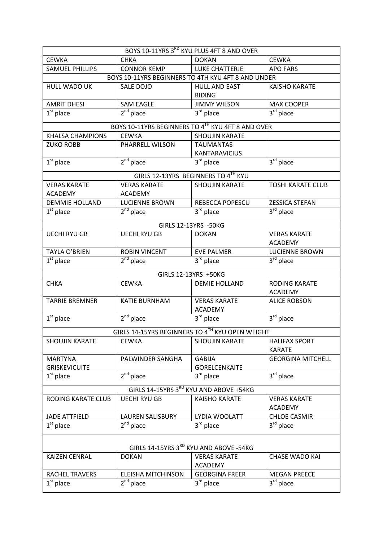| BOYS 10-11YRS 3RD KYU PLUS 4FT 8 AND OVER                          |                           |                                                    |                          |  |  |
|--------------------------------------------------------------------|---------------------------|----------------------------------------------------|--------------------------|--|--|
| <b>CEWKA</b>                                                       | <b>CHKA</b>               | <b>DOKAN</b>                                       | <b>CEWKA</b>             |  |  |
| <b>SAMUEL PHILLIPS</b>                                             | <b>CONNOR KEMP</b>        | LUKE CHATTERJE                                     | <b>APO FARS</b>          |  |  |
|                                                                    |                           | BOYS 10-11YRS BEGINNERS TO 4TH KYU 4FT 8 AND UNDER |                          |  |  |
| HULL WADO UK                                                       | SALE DOJO                 | <b>HULL AND EAST</b>                               | <b>KAISHO KARATE</b>     |  |  |
|                                                                    |                           | <b>RIDING</b>                                      |                          |  |  |
| <b>AMRIT DHESI</b>                                                 | <b>SAM EAGLE</b>          | <b>JIMMY WILSON</b>                                | <b>MAX COOPER</b>        |  |  |
| $2nd$ place<br>$3^{\text{rd}}$ place<br>$3rd$ place<br>$1st$ place |                           |                                                    |                          |  |  |
|                                                                    |                           | BOYS 10-11YRS BEGINNERS TO 4TH KYU 4FT 8 AND OVER  |                          |  |  |
| <b>KHALSA CHAMPIONS</b>                                            | <b>CEWKA</b>              | <b>SHOUJIN KARATE</b>                              |                          |  |  |
| <b>ZUKO ROBB</b>                                                   | PHARRELL WILSON           | <b>TAUMANTAS</b>                                   |                          |  |  |
|                                                                    |                           | KANTARAVICIUS                                      |                          |  |  |
| $1st$ place                                                        | $2nd$ place               | $3^{rd}$ place                                     | $3rd$ place              |  |  |
|                                                                    |                           | GIRLS 12-13YRS BEGINNERS TO 4TH KYU                |                          |  |  |
| <b>VERAS KARATE</b>                                                | <b>VERAS KARATE</b>       | <b>SHOUJIN KARATE</b>                              | <b>TOSHI KARATE CLUB</b> |  |  |
| <b>ACADEMY</b>                                                     | <b>ACADEMY</b>            |                                                    |                          |  |  |
| <b>DEMMIE HOLLAND</b>                                              | <b>LUCIENNE BROWN</b>     | <b>REBECCA POPESCU</b>                             | <b>ZESSICA STEFAN</b>    |  |  |
| $1st$ place                                                        | $2nd$ place               | $3rd$ place                                        | $3rd$ place              |  |  |
|                                                                    |                           | GIRLS 12-13YRS -50KG                               |                          |  |  |
| <b>UECHI RYU GB</b>                                                | <b>UECHI RYU GB</b>       | <b>DOKAN</b>                                       | <b>VERAS KARATE</b>      |  |  |
|                                                                    |                           |                                                    | <b>ACADEMY</b>           |  |  |
| <b>TAYLA O'BRIEN</b>                                               | <b>ROBIN VINCENT</b>      | <b>EVE PALMER</b>                                  | <b>LUCIENNE BROWN</b>    |  |  |
| $\overline{1}^{\text{st}}$ place                                   | $2nd$ place               | $3rd$ place                                        | 3 <sup>rd</sup> place    |  |  |
|                                                                    |                           | GIRLS 12-13YRS +50KG                               |                          |  |  |
| <b>CHKA</b>                                                        | <b>CEWKA</b>              | <b>DEMIE HOLLAND</b>                               | <b>RODING KARATE</b>     |  |  |
|                                                                    |                           |                                                    | <b>ACADEMY</b>           |  |  |
| <b>TARRIE BREMNER</b>                                              | KATIE BURNHAM             | <b>VERAS KARATE</b>                                | <b>ALICE ROBSON</b>      |  |  |
|                                                                    |                           | <b>ACADEMY</b>                                     |                          |  |  |
| $1st$ place                                                        | $2nd$ place               | $3rd$ place                                        | 3rd place                |  |  |
|                                                                    |                           | GIRLS 14-15YRS BEGINNERS TO 4TH KYU OPEN WEIGHT    |                          |  |  |
| <b>SHOUJIN KARATE</b>                                              | <b>CEWKA</b>              | SHOUJIN KARATE                                     | <b>HALIFAX SPORT</b>     |  |  |
|                                                                    |                           |                                                    | <b>KARATE</b>            |  |  |
| <b>MARTYNA</b>                                                     | PALWINDER SANGHA          | <b>GABIJA</b>                                      | <b>GEORGINA MITCHELL</b> |  |  |
| <b>GRISKEVICUITE</b>                                               |                           | <b>GORELCENKAITE</b>                               |                          |  |  |
| $1st$ place                                                        | $2nd$ place               | $3rd$ place                                        | 3rd place                |  |  |
| GIRLS 14-15YRS 3RD KYU AND ABOVE +54KG                             |                           |                                                    |                          |  |  |
| <b>RODING KARATE CLUB</b>                                          | <b>UECHI RYU GB</b>       | <b>KAISHO KARATE</b>                               | <b>VERAS KARATE</b>      |  |  |
|                                                                    |                           |                                                    | <b>ACADEMY</b>           |  |  |
| <b>JADE ATTFIELD</b>                                               | <b>LAUREN SALISBURY</b>   | LYDIA WOOLATT                                      | <b>CHLOE CASMIR</b>      |  |  |
| $1st$ place                                                        | $2nd$ place               | $3rd$ place                                        | 3 <sup>rd</sup> place    |  |  |
|                                                                    |                           |                                                    |                          |  |  |
| GIRLS 14-15YRS 3RD KYU AND ABOVE -54KG                             |                           |                                                    |                          |  |  |
| <b>KAIZEN CENRAL</b>                                               | <b>DOKAN</b>              | <b>VERAS KARATE</b>                                | <b>CHASE WADO KAI</b>    |  |  |
|                                                                    |                           | <b>ACADEMY</b>                                     |                          |  |  |
| RACHEL TRAVERS                                                     | <b>ELEISHA MITCHINSON</b> | <b>GEORGINA FREER</b>                              | <b>MEGAN PREECE</b>      |  |  |
| $1st$ place                                                        | $2nd$ place               | $3^{\overline{\text{rd}}}$ place                   | $3^{\text{rd}}$ place    |  |  |

 $\mathsf{l}$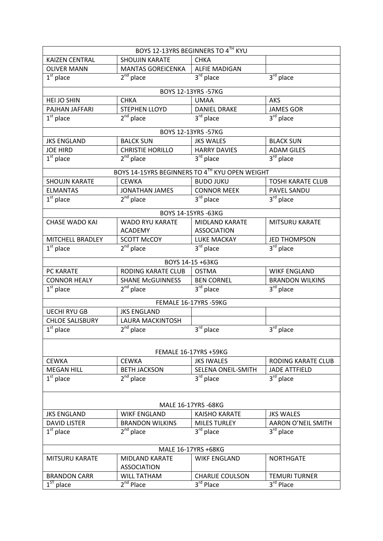| BOYS 12-13YRS BEGINNERS TO 4TH KYU |                                                |                              |                           |  |
|------------------------------------|------------------------------------------------|------------------------------|---------------------------|--|
| <b>KAIZEN CENTRAL</b>              | <b>SHOUJIN KARATE</b>                          | <b>CHKA</b>                  |                           |  |
| <b>OLIVER MANN</b>                 | <b>MANTAS GOREICENKA</b>                       | <b>ALFIE MADIGAN</b>         |                           |  |
| $1st$ place                        | $2nd$ place                                    | 3rd place                    | $3rd$ place               |  |
|                                    |                                                | BOYS 12-13YRS -57KG          |                           |  |
| HEI JO SHIN                        | <b>CHKA</b>                                    | <b>UMAA</b>                  | <b>AKS</b>                |  |
| PAJHAN JAFFARI                     | <b>STEPHEN LLOYD</b>                           | <b>DANIEL DRAKE</b>          | <b>JAMES GOR</b>          |  |
| $\overline{1^{st}}$ place          | $2nd$ place                                    | 3 <sup>rd</sup> place        | 3 <sup>rd</sup> place     |  |
|                                    |                                                | BOYS 12-13YRS -57KG          |                           |  |
| <b>JKS ENGLAND</b>                 | <b>BALCK SUN</b>                               | <b>JKS WALES</b>             | <b>BLACK SUN</b>          |  |
| <b>JOE HIRD</b>                    | <b>CHRISTIE HORILLO</b>                        | <b>HARRY DAVIES</b>          | <b>ADAM GILES</b>         |  |
| $1st$ place                        | $2nd$ place                                    | $3rd$ place                  | $3rd$ place               |  |
|                                    | BOYS 14-15YRS BEGINNERS TO 4TH KYU OPEN WEIGHT |                              |                           |  |
| <b>SHOUJN KARATE</b>               | <b>CEWKA</b>                                   | <b>BUDO JUKU</b>             | <b>TOSHI KARATE CLUB</b>  |  |
| <b>ELMANTAS</b>                    | <b>JONATHAN JAMES</b>                          | <b>CONNOR MEEK</b>           | PAVEL SANDU               |  |
| $1st$ place                        | $2nd$ place                                    | $\overline{3^{rd}}$ place    | 3rd place                 |  |
|                                    |                                                | BOYS 14-15YRS -63KG          |                           |  |
| <b>CHASE WADO KAI</b>              | <b>WADO RYU KARATE</b>                         | <b>MIDLAND KARATE</b>        | <b>MITSURU KARATE</b>     |  |
|                                    | <b>ACADEMY</b>                                 | <b>ASSOCIATION</b>           |                           |  |
| MITCHELL BRADLEY                   | <b>SCOTT McCOY</b>                             | LUKE MACKAY                  | <b>JED THOMPSON</b>       |  |
| $1st$ place                        | $2^{nd}$ place                                 | $3rd$ place                  | $3rd$ place               |  |
|                                    |                                                | BOYS 14-15 +63KG             |                           |  |
| PC KARATE                          | RODING KARATE CLUB                             | <b>OSTMA</b>                 | <b>WIKF ENGLAND</b>       |  |
| <b>CONNOR HEALY</b>                | <b>SHANE McGUINNESS</b>                        | <b>BEN CORNEL</b>            | <b>BRANDON WILKINS</b>    |  |
| $1st$ place                        | $2nd$ place                                    | $3rd$ place                  | 3rd place                 |  |
|                                    |                                                | FEMALE 16-17YRS -59KG        |                           |  |
| <b>UECHI RYU GB</b>                | <b>JKS ENGLAND</b>                             |                              |                           |  |
| <b>CHLOE SALISBURY</b>             | <b>LAURA MACKINTOSH</b>                        |                              |                           |  |
| $1st$ place                        | $2nd$ place                                    | 3rd place                    | $3rd$ place               |  |
|                                    |                                                |                              |                           |  |
|                                    |                                                | <b>FEMALE 16-17YRS +59KG</b> |                           |  |
| <b>CFWKA</b>                       | <b>CEWKA</b>                                   | <b>JKS IWALES</b>            | <b>RODING KARATE CLUB</b> |  |
| <b>MEGAN HILL</b>                  | <b>BETH JACKSON</b>                            | SELENA ONEIL-SMITH           | <b>JADE ATTFIELD</b>      |  |
| $1st$ place                        | $2^{nd}$ place                                 | 3 <sup>rd</sup> place        | 3 <sup>rd</sup> place     |  |
|                                    |                                                |                              |                           |  |
| MALE 16-17YRS -68KG                |                                                |                              |                           |  |
| <b>JKS ENGLAND</b>                 | <b>WIKE ENGLAND</b>                            | <b>KAISHO KARATE</b>         | <b>JKS WALES</b>          |  |
| <b>DAVID LISTER</b>                | <b>BRANDON WILKINS</b>                         | <b>MILES TURLEY</b>          | AARON O'NEIL SMITH        |  |
| $1st$ place                        | $2^{nd}$ place                                 | $3rd$ place                  | $3rd$ place               |  |
| MALE 16-17YRS +68KG                |                                                |                              |                           |  |
| <b>MITSURU KARATE</b>              | <b>MIDLAND KARATE</b>                          | <b>WIKE ENGLAND</b>          | <b>NORTHGATE</b>          |  |
|                                    | <b>ASSOCIATION</b>                             |                              |                           |  |
| <b>BRANDON CARR</b>                | <b>WILL TATHAM</b>                             | <b>CHARLIE COULSON</b>       | <b>TEMURI TURNER</b>      |  |
| $\overline{1^{ST}}$ place          | 2 <sup>nd</sup> Place                          | 3rd Place                    | 3rd Place                 |  |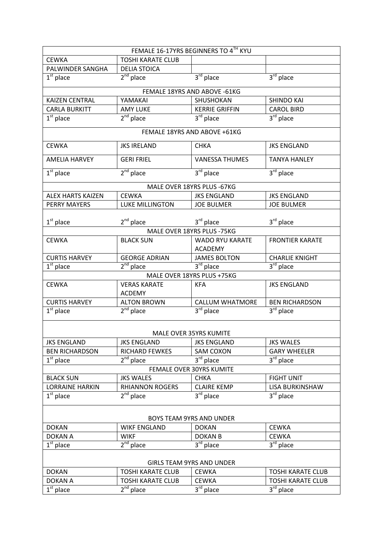| FEMALE 16-17YRS BEGINNERS TO 4TH KYU |                          |                                          |                                  |  |
|--------------------------------------|--------------------------|------------------------------------------|----------------------------------|--|
| <b>CEWKA</b>                         | <b>TOSHI KARATE CLUB</b> |                                          |                                  |  |
| PALWINDER SANGHA                     | <b>DELIA STOICA</b>      |                                          |                                  |  |
| $1st$ place                          | $2nd$ place              | 3rd place                                | $3rd$ place                      |  |
|                                      |                          | FEMALE 18YRS AND ABOVE -61KG             |                                  |  |
| <b>KAIZEN CENTRAL</b>                | YAMAKAI                  | SHUSHOKAN                                | <b>SHINDO KAI</b>                |  |
| <b>CARLA BURKITT</b>                 | <b>AMY LUKE</b>          | <b>KERRIE GRIFFIN</b>                    | <b>CAROL BIRD</b>                |  |
| $1st$ place                          | $2nd$ place              | 3 <sup>rd</sup> place                    | 3 <sup>rd</sup> place            |  |
|                                      |                          |                                          |                                  |  |
|                                      |                          | FEMALE 18YRS AND ABOVE +61KG             |                                  |  |
| <b>CEWKA</b>                         | <b>JKS IRELAND</b>       | <b>CHKA</b>                              | <b>JKS ENGLAND</b>               |  |
| <b>AMELIA HARVEY</b>                 | <b>GERI FRIEL</b>        | <b>VANESSA THUMES</b>                    | <b>TANYA HANLEY</b>              |  |
| $1st$ place                          | $2nd$ place              | 3rd place                                | 3 <sup>rd</sup> place            |  |
|                                      |                          | MALE OVER 18YRS PLUS - 67KG              |                                  |  |
| <b>ALEX HARTS KAIZEN</b>             | <b>CEWKA</b>             | <b>JKS ENGLAND</b>                       | <b>JKS ENGLAND</b>               |  |
| <b>PERRY MAYERS</b>                  | <b>LUKE MILLINGTON</b>   | <b>JOE BULMER</b>                        | <b>JOE BULMER</b>                |  |
|                                      |                          |                                          |                                  |  |
| $1st$ place                          | $2^{nd}$ place           | $3rd$ place                              | 3rd place                        |  |
|                                      |                          | MALE OVER 18YRS PLUS -75KG               |                                  |  |
| <b>CEWKA</b>                         | <b>BLACK SUN</b>         | <b>WADO RYU KARATE</b><br><b>ACADEMY</b> | <b>FRONTIER KARATE</b>           |  |
| <b>CURTIS HARVEY</b>                 | <b>GEORGE ADRIAN</b>     | <b>JAMES BOLTON</b>                      | <b>CHARLIE KNIGHT</b>            |  |
| $1st$ place                          | $2nd$ place              | $3rd$ place                              | $3^{\text{rd}}$ place            |  |
|                                      |                          | MALE OVER 18YRS PLUS +75KG               |                                  |  |
| <b>CEWKA</b>                         | <b>VERAS KARATE</b>      | <b>KFA</b>                               | <b>JKS ENGLAND</b>               |  |
|                                      | <b>ACDEMY</b>            |                                          |                                  |  |
| <b>CURTIS HARVEY</b>                 | <b>ALTON BROWN</b>       | <b>CALLUM WHATMORE</b>                   | <b>BEN RICHARDSON</b>            |  |
| $\overline{1}^{\text{st}}$ place     | $2nd$ place              | 3rd place                                | $3^{\overline{\text{rd}}}$ place |  |
|                                      |                          |                                          |                                  |  |
|                                      |                          | MALE OVER 35YRS KUMITE                   |                                  |  |
| <b>JKS ENGLAND</b>                   | <b>JKS ENGLAND</b>       | <b>JKS ENGLAND</b>                       | <b>JKS WALES</b>                 |  |
| <b>BEN RICHARDSON</b>                | RICHARD FEWKES           | <b>SAM COXON</b>                         | <b>GARY WHEELER</b>              |  |
| $1st$ place                          | $2nd$ place              | 3rd place                                | 3 <sup>rd</sup> place            |  |
| FEMALE OVER 30YRS KUMITE             |                          |                                          |                                  |  |
| <b>BLACK SUN</b>                     | <b>JKS WALES</b>         | <b>CHKA</b>                              | <b>FIGHT UNIT</b>                |  |
| <b>LORRAINE HARKIN</b>               | <b>RHIANNON ROGERS</b>   | <b>CLAIRE KEMP</b>                       | LISA BURKINSHAW                  |  |
| $1st$ place                          | $2nd$ place              | $3^{\overline{\text{rd}}}$ place         | $3rd$ place                      |  |
| BOYS TEAM 9YRS AND UNDER             |                          |                                          |                                  |  |
| <b>DOKAN</b>                         | <b>WIKF ENGLAND</b>      | <b>DOKAN</b>                             | <b>CEWKA</b>                     |  |
| <b>DOKAN A</b>                       | <b>WIKF</b>              | <b>DOKAN B</b>                           | <b>CEWKA</b>                     |  |
| $1st$ place                          | $2nd$ place              | $3^{\text{rd}}$ place                    | $\overline{3}^{\text{rd}}$ place |  |
|                                      |                          |                                          |                                  |  |
| <b>GIRLS TEAM 9YRS AND UNDER</b>     |                          |                                          |                                  |  |
| <b>DOKAN</b>                         | <b>TOSHI KARATE CLUB</b> | <b>CEWKA</b>                             | <b>TOSHI KARATE CLUB</b>         |  |
| <b>DOKAN A</b>                       | <b>TOSHI KARATE CLUB</b> | <b>CEWKA</b>                             | <b>TOSHI KARATE CLUB</b>         |  |
| $1st$ place                          | $2^{nd}$ place           | $3^{\overline{rd}}$ place                | $\overline{3}^{\text{rd}}$ place |  |